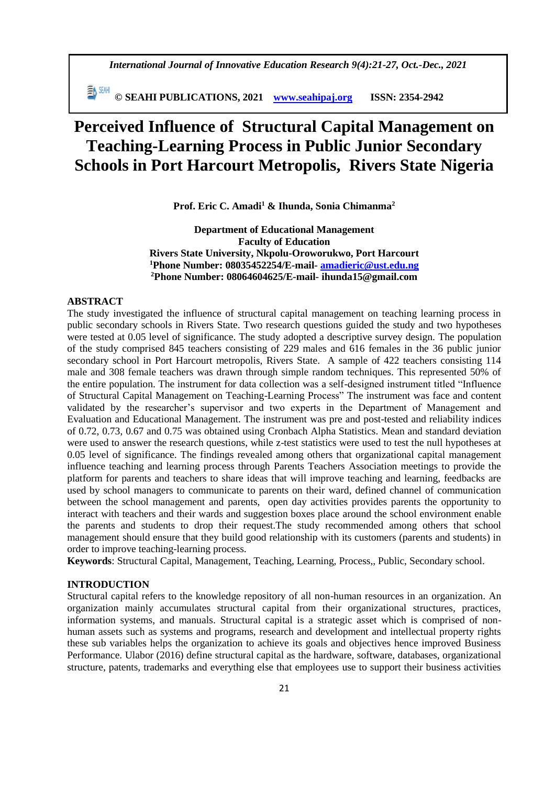*International Journal of Innovative Education Research 9(4):21-27, Oct.-Dec., 2021*

 **© SEAHI PUBLICATIONS, 2021 [www.seahipaj.org](http://www.seahipaj.org/) ISSN: 2354-2942**

# **Perceived Influence of Structural Capital Management on Teaching-Learning Process in Public Junior Secondary Schools in Port Harcourt Metropolis, Rivers State Nigeria**

**Prof. Eric C. Amadi<sup>1</sup> & Ihunda, Sonia Chimanma<sup>2</sup>**

**Department of Educational Management Faculty of Education Rivers State University, Nkpolu-Oroworukwo, Port Harcourt <sup>1</sup>Phone Number: 08035452254/E-mail- [amadieric@ust.edu.ng](mailto:amadieric@ust.edu.ng) <sup>2</sup>Phone Number: 08064604625/E-mail- ihunda15@gmail.com**

# **ABSTRACT**

The study investigated the influence of structural capital management on teaching learning process in public secondary schools in Rivers State. Two research questions guided the study and two hypotheses were tested at 0.05 level of significance. The study adopted a descriptive survey design. The population of the study comprised 845 teachers consisting of 229 males and 616 females in the 36 public junior secondary school in Port Harcourt metropolis, Rivers State. A sample of 422 teachers consisting 114 male and 308 female teachers was drawn through simple random techniques. This represented 50% of the entire population. The instrument for data collection was a self-designed instrument titled "Influence of Structural Capital Management on Teaching-Learning Process" The instrument was face and content validated by the researcher's supervisor and two experts in the Department of Management and Evaluation and Educational Management. The instrument was pre and post-tested and reliability indices of 0.72, 0.73, 0.67 and 0.75 was obtained using Cronbach Alpha Statistics. Mean and standard deviation were used to answer the research questions, while z-test statistics were used to test the null hypotheses at 0.05 level of significance. The findings revealed among others that organizational capital management influence teaching and learning process through Parents Teachers Association meetings to provide the platform for parents and teachers to share ideas that will improve teaching and learning, feedbacks are used by school managers to communicate to parents on their ward, defined channel of communication between the school management and parents, open day activities provides parents the opportunity to interact with teachers and their wards and suggestion boxes place around the school environment enable the parents and students to drop their request.The study recommended among others that school management should ensure that they build good relationship with its customers (parents and students) in order to improve teaching-learning process.

**Keywords**: Structural Capital, Management, Teaching, Learning, Process,, Public, Secondary school.

## **INTRODUCTION**

Structural capital refers to the knowledge repository of all non-human resources in an organization. An organization mainly accumulates structural capital from their organizational structures, practices, information systems, and manuals. Structural capital is a strategic asset which is comprised of nonhuman assets such as systems and programs, research and development and intellectual property rights these sub variables helps the organization to achieve its goals and objectives hence improved Business Performance. Ulabor (2016) define structural capital as the hardware, software, databases, organizational structure, patents, trademarks and everything else that employees use to support their business activities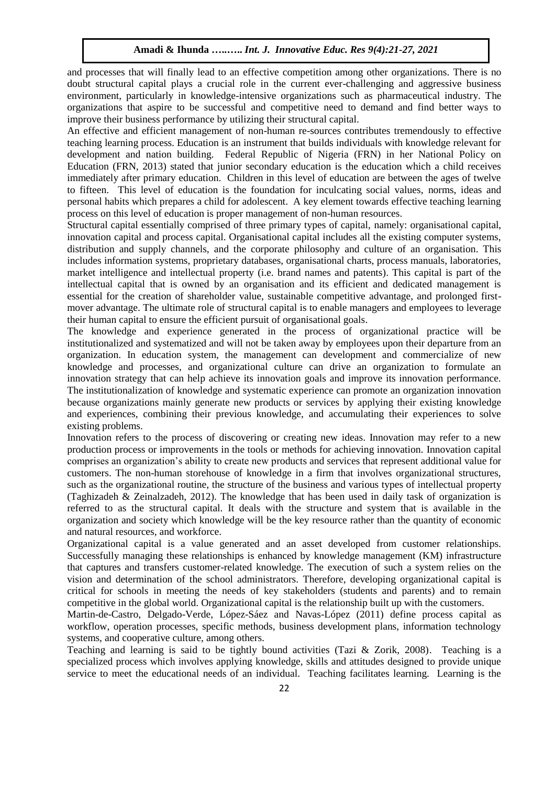and processes that will finally lead to an effective competition among other organizations. There is no doubt structural capital plays a crucial role in the current ever-challenging and aggressive business environment, particularly in knowledge-intensive organizations such as pharmaceutical industry. The organizations that aspire to be successful and competitive need to demand and find better ways to improve their business performance by utilizing their structural capital.

An effective and efficient management of non-human re-sources contributes tremendously to effective teaching learning process. Education is an instrument that builds individuals with knowledge relevant for development and nation building. Federal Republic of Nigeria (FRN) in her National Policy on Education (FRN, 2013) stated that junior secondary education is the education which a child receives immediately after primary education. Children in this level of education are between the ages of twelve to fifteen. This level of education is the foundation for inculcating social values, norms, ideas and personal habits which prepares a child for adolescent. A key element towards effective teaching learning process on this level of education is proper management of non-human resources.

Structural capital essentially comprised of three primary types of capital, namely: organisational capital, innovation capital and process capital. Organisational capital includes all the existing computer systems, distribution and supply channels, and the corporate philosophy and culture of an organisation. This includes information systems, proprietary databases, organisational charts, process manuals, laboratories, market intelligence and intellectual property (i.e. brand names and patents). This capital is part of the intellectual capital that is owned by an organisation and its efficient and dedicated management is essential for the creation of shareholder value, sustainable competitive advantage, and prolonged firstmover advantage. The ultimate role of structural capital is to enable managers and employees to leverage their human capital to ensure the efficient pursuit of organisational goals.

The knowledge and experience generated in the process of organizational practice will be institutionalized and systematized and will not be taken away by employees upon their departure from an organization. In education system, the management can development and commercialize of new knowledge and processes, and organizational culture can drive an organization to formulate an innovation strategy that can help achieve its innovation goals and improve its innovation performance. The institutionalization of knowledge and systematic experience can promote an organization innovation because organizations mainly generate new products or services by applying their existing knowledge and experiences, combining their previous knowledge, and accumulating their experiences to solve existing problems.

Innovation refers to the process of discovering or creating new ideas. Innovation may refer to a new production process or improvements in the tools or methods for achieving innovation. Innovation capital comprises an organization's ability to create new products and services that represent additional value for customers. The non-human storehouse of knowledge in a firm that involves organizational structures, such as the organizational routine, the structure of the business and various types of intellectual property (Taghizadeh & Zeinalzadeh, 2012). The knowledge that has been used in daily task of organization is referred to as the structural capital. It deals with the structure and system that is available in the organization and society which knowledge will be the key resource rather than the quantity of economic and natural resources, and workforce.

Organizational capital is a value generated and an asset developed from customer relationships. Successfully managing these relationships is enhanced by knowledge management (KM) infrastructure that captures and transfers customer-related knowledge. The execution of such a system relies on the vision and determination of the school administrators. Therefore, developing organizational capital is critical for schools in meeting the needs of key stakeholders (students and parents) and to remain competitive in the global world. Organizational capital is the relationship built up with the customers.

Martin-de-Castro, Delgado-Verde, López-Sáez and Navas-López (2011) define process capital as workflow, operation processes, specific methods, business development plans, information technology systems, and cooperative culture, among others.

Teaching and learning is said to be tightly bound activities (Tazi & Zorik, 2008). Teaching is a specialized process which involves applying knowledge, skills and attitudes designed to provide unique service to meet the educational needs of an individual. Teaching facilitates learning. Learning is the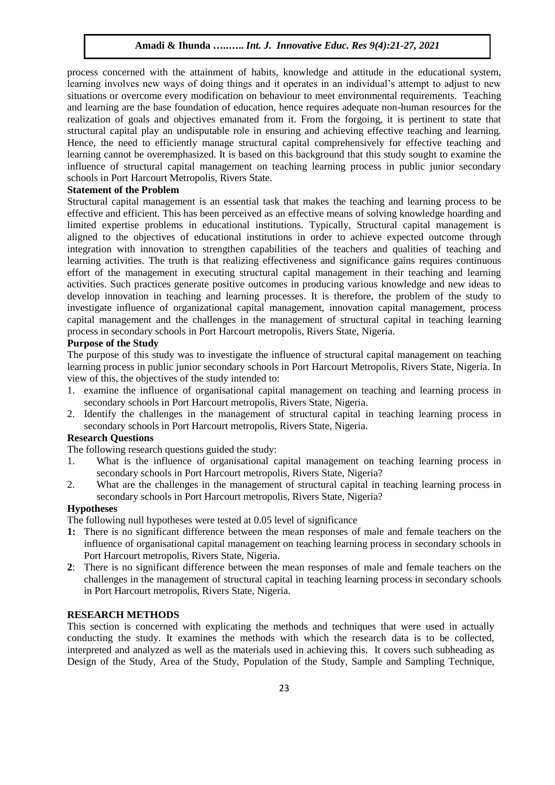process concerned with the attainment of habits, knowledge and attitude in the educational system, learning involves new ways of doing things and it operates in an individual's attempt to adjust to new situations or overcome every modification on behaviour to meet environmental requirements. Teaching and learning are the base foundation of education, hence requires adequate non-human resources for the realization of goals and objectives emanated from it. From the forgoing, it is pertinent to state that structural capital play an undisputable role in ensuring and achieving effective teaching and learning. Hence, the need to efficiently manage structural capital comprehensively for effective teaching and learning cannot be overemphasized. It is based on this background that this study sought to examine the influence of structural capital management on teaching learning process in public junior secondary schools in Port Harcourt Metropolis, Rivers State.

# **Statement of the Problem**

Structural capital management is an essential task that makes the teaching and learning process to be effective and efficient. This has been perceived as an effective means of solving knowledge hoarding and limited expertise problems in educational institutions. Typically, Structural capital management is aligned to the objectives of educational institutions in order to achieve expected outcome through integration with innovation to strengthen capabilities of the teachers and qualities of teaching and learning activities. The truth is that realizing effectiveness and significance gains requires continuous effort of the management in executing structural capital management in their teaching and learning activities. Such practices generate positive outcomes in producing various knowledge and new ideas to develop innovation in teaching and learning processes. It is therefore, the problem of the study to investigate influence of organizational capital management, innovation capital management, process capital management and the challenges in the management of structural capital in teaching learning process in secondary schools in Port Harcourt metropolis, Rivers State, Nigeria.

# **Purpose of the Study**

The purpose of this study was to investigate the influence of structural capital management on teaching learning process in public junior secondary schools in Port Harcourt Metropolis, Rivers State, Nigeria. In view of this, the objectives of the study intended to:

- 1. examine the influence of organisational capital management on teaching and learning process in secondary schools in Port Harcourt metropolis, Rivers State, Nigeria.
- 2. Identify the challenges in the management of structural capital in teaching learning process in secondary schools in Port Harcourt metropolis, Rivers State, Nigeria.

# **Research Questions**

The following research questions guided the study:

- 1. What is the influence of organisational capital management on teaching learning process in secondary schools in Port Harcourt metropolis, Rivers State, Nigeria?
- 2. What are the challenges in the management of structural capital in teaching learning process in secondary schools in Port Harcourt metropolis, Rivers State, Nigeria?

#### **Hypotheses**

The following null hypotheses were tested at 0.05 level of significance

- **1:** There is no significant difference between the mean responses of male and female teachers on the influence of organisational capital management on teaching learning process in secondary schools in Port Harcourt metropolis, Rivers State, Nigeria.
- **2**: There is no significant difference between the mean responses of male and female teachers on the challenges in the management of structural capital in teaching learning process in secondary schools in Port Harcourt metropolis, Rivers State, Nigeria.

#### **RESEARCH METHODS**

This section is concerned with explicating the methods and techniques that were used in actually conducting the study. It examines the methods with which the research data is to be collected, interpreted and analyzed as well as the materials used in achieving this. It covers such subheading as Design of the Study, Area of the Study, Population of the Study, Sample and Sampling Technique,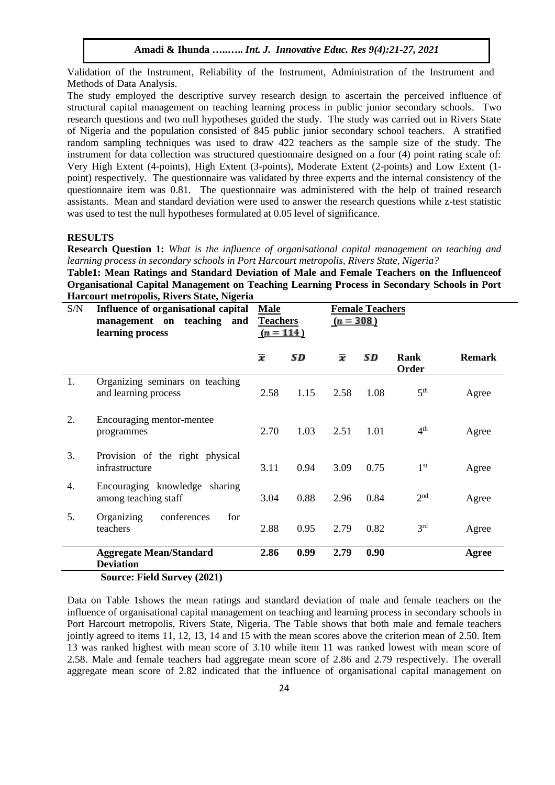Validation of the Instrument, Reliability of the Instrument, Administration of the Instrument and Methods of Data Analysis.

The study employed the descriptive survey research design to ascertain the perceived influence of structural capital management on teaching learning process in public junior secondary schools. Two research questions and two null hypotheses guided the study. The study was carried out in Rivers State of Nigeria and the population consisted of 845 public junior secondary school teachers. A stratified random sampling techniques was used to draw 422 teachers as the sample size of the study. The instrument for data collection was structured questionnaire designed on a four (4) point rating scale of: Very High Extent (4-points), High Extent (3-points), Moderate Extent (2-points) and Low Extent (1 point) respectively. The questionnaire was validated by three experts and the internal consistency of the questionnaire item was 0.81. The questionnaire was administered with the help of trained research assistants. Mean and standard deviation were used to answer the research questions while z-test statistic was used to test the null hypotheses formulated at 0.05 level of significance.

#### **RESULTS**

**Research Question 1:** *What is the influence of organisational capital management on teaching and learning process in secondary schools in Port Harcourt metropolis, Rivers State, Nigeria?*

**Table1: Mean Ratings and Standard Deviation of Male and Female Teachers on the Influenceof Organisational Capital Management on Teaching Learning Process in Secondary Schools in Port Harcourt metropolis, Rivers State, Nigeria**

| S/N | Influence of organisational capital<br>management on teaching and<br>learning process     | <b>Male</b><br><b>Teachers</b><br>$(n = 114)$ |      | <b>Female Teachers</b><br>$(n = 308)$ |      |                 |               |
|-----|-------------------------------------------------------------------------------------------|-----------------------------------------------|------|---------------------------------------|------|-----------------|---------------|
|     |                                                                                           | $\overline{\bm{x}}$                           | SD   | $\overline{\bm{x}}$                   | SD   | Rank<br>Order   | <b>Remark</b> |
| 1.  | Organizing seminars on teaching<br>and learning process                                   | 2.58                                          | 1.15 | 2.58                                  | 1.08 | 5 <sup>th</sup> | Agree         |
| 2.  | Encouraging mentor-mentee<br>programmes                                                   | 2.70                                          | 1.03 | 2.51                                  | 1.01 | 4 <sup>th</sup> | Agree         |
| 3.  | Provision of the right physical<br>infrastructure                                         | 3.11                                          | 0.94 | 3.09                                  | 0.75 | 1 <sup>st</sup> | Agree         |
| 4.  | Encouraging knowledge sharing<br>among teaching staff                                     | 3.04                                          | 0.88 | 2.96                                  | 0.84 | 2 <sup>nd</sup> | Agree         |
| 5.  | Organizing<br>conferences<br>for<br>teachers                                              | 2.88                                          | 0.95 | 2.79                                  | 0.82 | 3 <sup>rd</sup> | Agree         |
|     | <b>Aggregate Mean/Standard</b><br><b>Deviation</b><br>$\cdots$<br>$\lambda$ and $\lambda$ | 2.86                                          | 0.99 | 2.79                                  | 0.90 |                 | Agree         |

# **Source: Field Survey (2021)**

Data on Table 1shows the mean ratings and standard deviation of male and female teachers on the influence of organisational capital management on teaching and learning process in secondary schools in Port Harcourt metropolis, Rivers State, Nigeria. The Table shows that both male and female teachers jointly agreed to items 11, 12, 13, 14 and 15 with the mean scores above the criterion mean of 2.50. Item 13 was ranked highest with mean score of 3.10 while item 11 was ranked lowest with mean score of 2.58. Male and female teachers had aggregate mean score of 2.86 and 2.79 respectively. The overall aggregate mean score of 2.82 indicated that the influence of organisational capital management on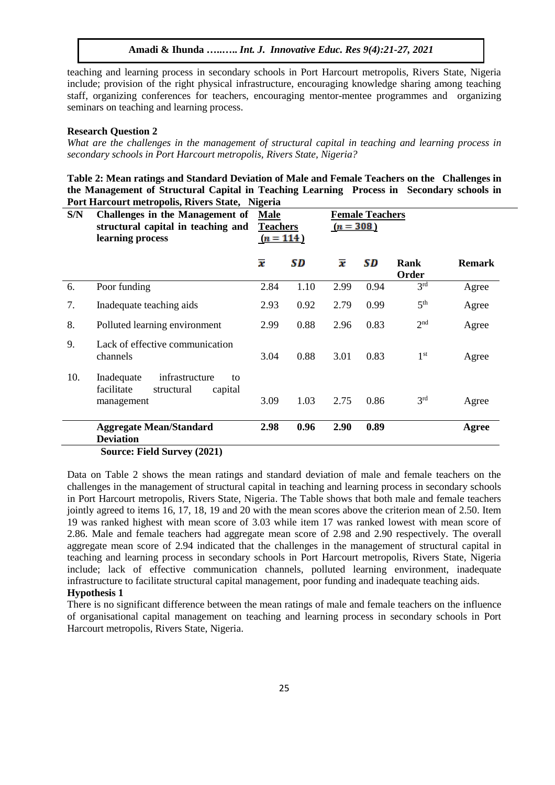teaching and learning process in secondary schools in Port Harcourt metropolis, Rivers State, Nigeria include; provision of the right physical infrastructure, encouraging knowledge sharing among teaching staff, organizing conferences for teachers, encouraging mentor-mentee programmes and organizing seminars on teaching and learning process.

#### **Research Question 2**

*What are the challenges in the management of structural capital in teaching and learning process in secondary schools in Port Harcourt metropolis, Rivers State, Nigeria?*

**Table 2: Mean ratings and Standard Deviation of Male and Female Teachers on the Challenges in the Management of Structural Capital in Teaching Learning Process in Secondary schools in Port Harcourt metropolis, Rivers State, Nigeria**

| S/N | Challenges in the Management of<br>structural capital in teaching and<br>learning process | <b>Male</b><br><b>Teachers</b><br>$(n = 114)$ |      | <b>Female Teachers</b><br>$(n = 308)$ |      |                 |               |
|-----|-------------------------------------------------------------------------------------------|-----------------------------------------------|------|---------------------------------------|------|-----------------|---------------|
|     |                                                                                           | $\overline{\bm{x}}$                           | SD   | $\overline{\bm{x}}$                   | SD   | Rank<br>Order   | <b>Remark</b> |
| 6.  | Poor funding                                                                              | 2.84                                          | 1.10 | 2.99                                  | 0.94 | 3 <sup>rd</sup> | Agree         |
| 7.  | Inadequate teaching aids                                                                  | 2.93                                          | 0.92 | 2.79                                  | 0.99 | 5 <sup>th</sup> | Agree         |
| 8.  | Polluted learning environment                                                             | 2.99                                          | 0.88 | 2.96                                  | 0.83 | 2 <sup>nd</sup> | Agree         |
| 9.  | Lack of effective communication<br>channels                                               | 3.04                                          | 0.88 | 3.01                                  | 0.83 | 1 <sup>st</sup> | Agree         |
| 10. | infrastructure<br>Inadequate<br>to<br>facilitate<br>structural<br>capital<br>management   | 3.09                                          | 1.03 | 2.75                                  | 0.86 | 3 <sup>rd</sup> | Agree         |
|     | <b>Aggregate Mean/Standard</b><br><b>Deviation</b>                                        | 2.98                                          | 0.96 | 2.90                                  | 0.89 |                 | Agree         |
|     | Source: Field Survey (2021)                                                               |                                               |      |                                       |      |                 |               |

Data on Table 2 shows the mean ratings and standard deviation of male and female teachers on the challenges in the management of structural capital in teaching and learning process in secondary schools in Port Harcourt metropolis, Rivers State, Nigeria. The Table shows that both male and female teachers jointly agreed to items 16, 17, 18, 19 and 20 with the mean scores above the criterion mean of 2.50. Item 19 was ranked highest with mean score of 3.03 while item 17 was ranked lowest with mean score of 2.86. Male and female teachers had aggregate mean score of 2.98 and 2.90 respectively. The overall aggregate mean score of 2.94 indicated that the challenges in the management of structural capital in teaching and learning process in secondary schools in Port Harcourt metropolis, Rivers State, Nigeria include; lack of effective communication channels, polluted learning environment, inadequate infrastructure to facilitate structural capital management, poor funding and inadequate teaching aids. **Hypothesis 1**

# There is no significant difference between the mean ratings of male and female teachers on the influence of organisational capital management on teaching and learning process in secondary schools in Port Harcourt metropolis, Rivers State, Nigeria.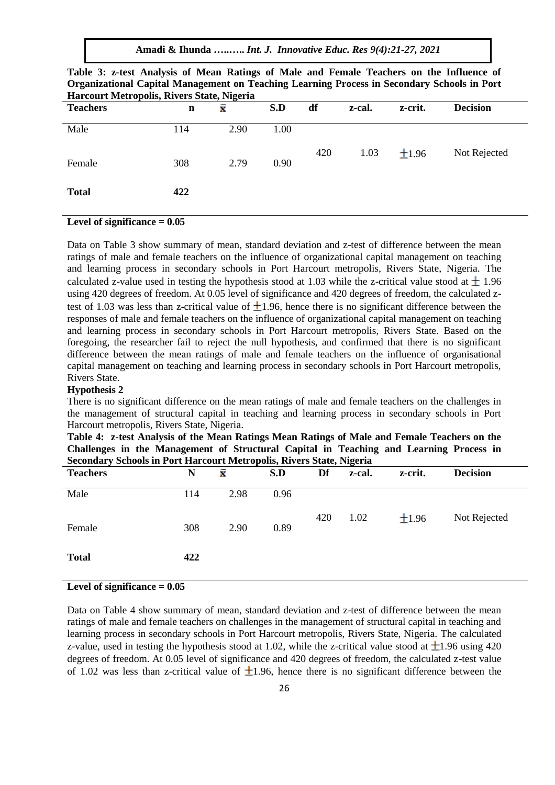**Amadi & Ihunda …..…..** *Int. J. Innovative Educ. Res 9(4):21-27, 2021*

| <b>Teachers</b> | n   | x    | S.D  | df  | z-cal. | z-crit.    | <b>Decision</b> |
|-----------------|-----|------|------|-----|--------|------------|-----------------|
| Male            | 114 | 2.90 | 1.00 | 420 | 1.03   | $\pm 1.96$ | Not Rejected    |
| Female          | 308 | 2.79 | 0.90 |     |        |            |                 |
| <b>Total</b>    | 422 |      |      |     |        |            |                 |

| Table 3: z-test Analysis of Mean Ratings of Male and Female Teachers on the Influence of    |
|---------------------------------------------------------------------------------------------|
| Organizational Capital Management on Teaching Learning Process in Secondary Schools in Port |
| Harcourt Metropolis, Rivers State, Nigeria                                                  |

#### **Level of significance = 0.05**

Data on Table 3 show summary of mean, standard deviation and z-test of difference between the mean ratings of male and female teachers on the influence of organizational capital management on teaching and learning process in secondary schools in Port Harcourt metropolis, Rivers State, Nigeria. The calculated z-value used in testing the hypothesis stood at 1.03 while the z-critical value stood at  $\pm$  1.96 using 420 degrees of freedom. At 0.05 level of significance and 420 degrees of freedom, the calculated ztest of 1.03 was less than z-critical value of  $\pm$ 1.96, hence there is no significant difference between the responses of male and female teachers on the influence of organizational capital management on teaching and learning process in secondary schools in Port Harcourt metropolis, Rivers State. Based on the foregoing, the researcher fail to reject the null hypothesis, and confirmed that there is no significant difference between the mean ratings of male and female teachers on the influence of organisational capital management on teaching and learning process in secondary schools in Port Harcourt metropolis, Rivers State.

#### **Hypothesis 2**

There is no significant difference on the mean ratings of male and female teachers on the challenges in the management of structural capital in teaching and learning process in secondary schools in Port Harcourt metropolis, Rivers State, Nigeria.

| Table 4: z-test Analysis of the Mean Ratings Mean Ratings of Male and Female Teachers on the |  |
|----------------------------------------------------------------------------------------------|--|
| Challenges in the Management of Structural Capital in Teaching and Learning Process in       |  |
| <b>Secondary Schools in Port Harcourt Metropolis, Rivers State, Nigeria</b>                  |  |

| <b>Teachers</b> | N   | x    | S.D  | Df  | z-cal. | z-crit. | <b>Decision</b> |
|-----------------|-----|------|------|-----|--------|---------|-----------------|
| Male            | 114 | 2.98 | 0.96 |     |        |         |                 |
| Female          | 308 | 2.90 | 0.89 | 420 | 1.02   | ±1.96   | Not Rejected    |
| <b>Total</b>    | 422 |      |      |     |        |         |                 |

# **Level of significance = 0.05**

Data on Table 4 show summary of mean, standard deviation and z-test of difference between the mean ratings of male and female teachers on challenges in the management of structural capital in teaching and learning process in secondary schools in Port Harcourt metropolis, Rivers State, Nigeria. The calculated z-value, used in testing the hypothesis stood at 1.02, while the z-critical value stood at  $\pm$ 1.96 using 420 degrees of freedom. At 0.05 level of significance and 420 degrees of freedom, the calculated z-test value of 1.02 was less than z-critical value of  $\pm 1.96$ , hence there is no significant difference between the